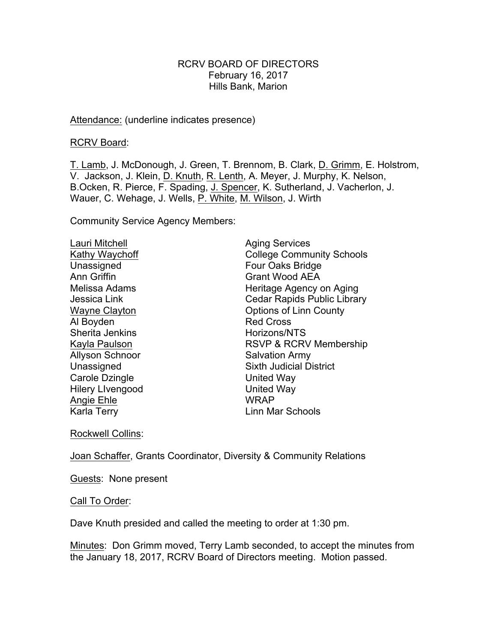#### RCRV BOARD OF DIRECTORS February 16, 2017 Hills Bank, Marion

#### Attendance: (underline indicates presence)

RCRV Board:

T. Lamb, J. McDonough, J. Green, T. Brennom, B. Clark, D. Grimm, E. Holstrom, V. Jackson, J. Klein, D. Knuth, R. Lenth, A. Meyer, J. Murphy, K. Nelson, B.Ocken, R. Pierce, F. Spading, J. Spencer, K. Sutherland, J. Vacherlon, J. Wauer, C. Wehage, J. Wells, P. White, M. Wilson, J. Wirth

Community Service Agency Members:

Lauri Mitchell **Aging Services** Unassigned **Four Oaks Bridge** Ann Griffin Grant Wood AEA Al Boyden Red Cross Sherita Jenkins Horizons/NTS Allyson Schnoor Salvation Army Carole Dzingle **United Way** Hilery Livengood United Way Angie Ehle WRAP Karla Terry **Linn Mar Schools** 

Kathy Waychoff **College Community Schools** Melissa Adams **Heritage Agency on Aging** Jessica Link Cedar Rapids Public Library Wayne Clayton **Case Clayton County** Options of Linn County Kayla Paulson **RSVP & RCRV Membership** Unassigned Sixth Judicial District

Rockwell Collins:

Joan Schaffer, Grants Coordinator, Diversity & Community Relations

Guests: None present

Call To Order:

Dave Knuth presided and called the meeting to order at 1:30 pm.

Minutes: Don Grimm moved, Terry Lamb seconded, to accept the minutes from the January 18, 2017, RCRV Board of Directors meeting. Motion passed.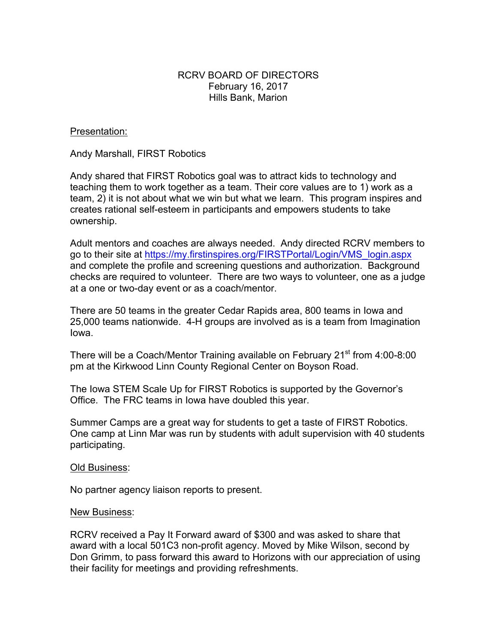## RCRV BOARD OF DIRECTORS February 16, 2017 Hills Bank, Marion

Presentation:

Andy Marshall, FIRST Robotics

Andy shared that FIRST Robotics goal was to attract kids to technology and teaching them to work together as a team. Their core values are to 1) work as a team, 2) it is not about what we win but what we learn. This program inspires and creates rational self-esteem in participants and empowers students to take ownership.

Adult mentors and coaches are always needed. Andy directed RCRV members to go to their site at https://my.firstinspires.org/FIRSTPortal/Login/VMS\_login.aspx and complete the profile and screening questions and authorization. Background checks are required to volunteer. There are two ways to volunteer, one as a judge at a one or two-day event or as a coach/mentor.

There are 50 teams in the greater Cedar Rapids area, 800 teams in Iowa and 25,000 teams nationwide. 4-H groups are involved as is a team from Imagination Iowa.

There will be a Coach/Mentor Training available on February 21<sup>st</sup> from 4:00-8:00 pm at the Kirkwood Linn County Regional Center on Boyson Road.

The Iowa STEM Scale Up for FIRST Robotics is supported by the Governor's Office. The FRC teams in Iowa have doubled this year.

Summer Camps are a great way for students to get a taste of FIRST Robotics. One camp at Linn Mar was run by students with adult supervision with 40 students participating.

#### Old Business:

No partner agency liaison reports to present.

#### New Business:

RCRV received a Pay It Forward award of \$300 and was asked to share that award with a local 501C3 non-profit agency. Moved by Mike Wilson, second by Don Grimm, to pass forward this award to Horizons with our appreciation of using their facility for meetings and providing refreshments.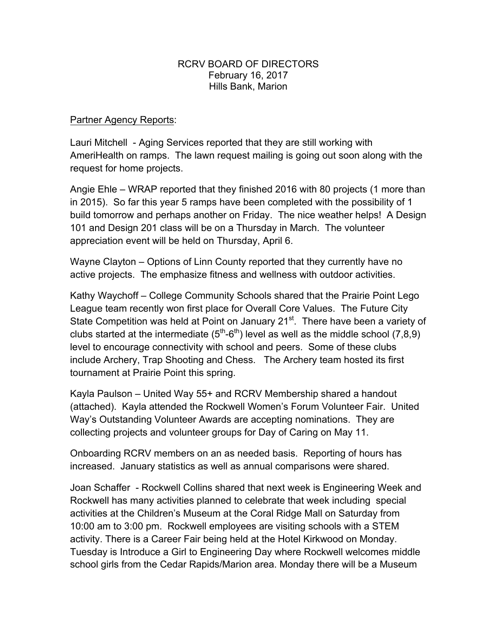### RCRV BOARD OF DIRECTORS February 16, 2017 Hills Bank, Marion

## Partner Agency Reports:

Lauri Mitchell - Aging Services reported that they are still working with AmeriHealth on ramps. The lawn request mailing is going out soon along with the request for home projects.

Angie Ehle – WRAP reported that they finished 2016 with 80 projects (1 more than in 2015). So far this year 5 ramps have been completed with the possibility of 1 build tomorrow and perhaps another on Friday. The nice weather helps! A Design 101 and Design 201 class will be on a Thursday in March. The volunteer appreciation event will be held on Thursday, April 6.

Wayne Clayton – Options of Linn County reported that they currently have no active projects. The emphasize fitness and wellness with outdoor activities.

Kathy Waychoff – College Community Schools shared that the Prairie Point Lego League team recently won first place for Overall Core Values. The Future City State Competition was held at Point on January 21<sup>st</sup>. There have been a variety of clubs started at the intermediate  $(5<sup>th</sup>-6<sup>th</sup>)$  level as well as the middle school  $(7,8,9)$ level to encourage connectivity with school and peers. Some of these clubs include Archery, Trap Shooting and Chess. The Archery team hosted its first tournament at Prairie Point this spring.

Kayla Paulson – United Way 55+ and RCRV Membership shared a handout (attached). Kayla attended the Rockwell Women's Forum Volunteer Fair. United Way's Outstanding Volunteer Awards are accepting nominations. They are collecting projects and volunteer groups for Day of Caring on May 11.

Onboarding RCRV members on an as needed basis. Reporting of hours has increased. January statistics as well as annual comparisons were shared.

Joan Schaffer - Rockwell Collins shared that next week is Engineering Week and Rockwell has many activities planned to celebrate that week including special activities at the Children's Museum at the Coral Ridge Mall on Saturday from 10:00 am to 3:00 pm. Rockwell employees are visiting schools with a STEM activity. There is a Career Fair being held at the Hotel Kirkwood on Monday. Tuesday is Introduce a Girl to Engineering Day where Rockwell welcomes middle school girls from the Cedar Rapids/Marion area. Monday there will be a Museum